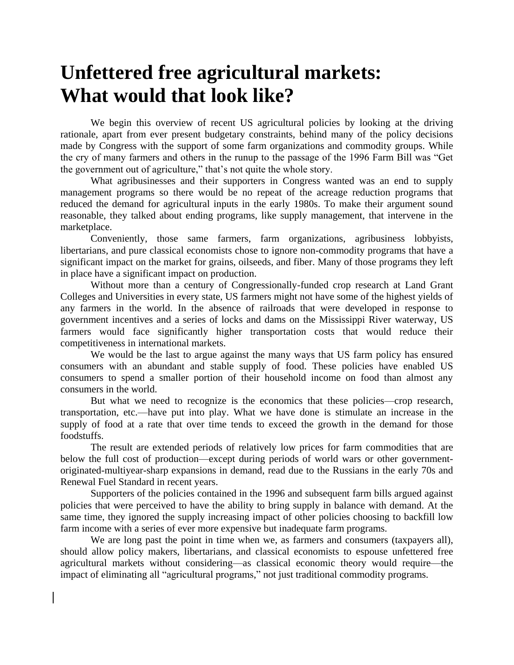## **Unfettered free agricultural markets: What would that look like?**

We begin this overview of recent US agricultural policies by looking at the driving rationale, apart from ever present budgetary constraints, behind many of the policy decisions made by Congress with the support of some farm organizations and commodity groups. While the cry of many farmers and others in the runup to the passage of the 1996 Farm Bill was "Get the government out of agriculture," that's not quite the whole story.

What agribusinesses and their supporters in Congress wanted was an end to supply management programs so there would be no repeat of the acreage reduction programs that reduced the demand for agricultural inputs in the early 1980s. To make their argument sound reasonable, they talked about ending programs, like supply management, that intervene in the marketplace.

Conveniently, those same farmers, farm organizations, agribusiness lobbyists, libertarians, and pure classical economists chose to ignore non-commodity programs that have a significant impact on the market for grains, oilseeds, and fiber. Many of those programs they left in place have a significant impact on production.

Without more than a century of Congressionally-funded crop research at Land Grant Colleges and Universities in every state, US farmers might not have some of the highest yields of any farmers in the world. In the absence of railroads that were developed in response to government incentives and a series of locks and dams on the Mississippi River waterway, US farmers would face significantly higher transportation costs that would reduce their competitiveness in international markets.

We would be the last to argue against the many ways that US farm policy has ensured consumers with an abundant and stable supply of food. These policies have enabled US consumers to spend a smaller portion of their household income on food than almost any consumers in the world.

But what we need to recognize is the economics that these policies—crop research, transportation, etc.—have put into play. What we have done is stimulate an increase in the supply of food at a rate that over time tends to exceed the growth in the demand for those foodstuffs.

The result are extended periods of relatively low prices for farm commodities that are below the full cost of production—except during periods of world wars or other governmentoriginated-multiyear-sharp expansions in demand, read due to the Russians in the early 70s and Renewal Fuel Standard in recent years.

Supporters of the policies contained in the 1996 and subsequent farm bills argued against policies that were perceived to have the ability to bring supply in balance with demand. At the same time, they ignored the supply increasing impact of other policies choosing to backfill low farm income with a series of ever more expensive but inadequate farm programs.

We are long past the point in time when we, as farmers and consumers (taxpayers all), should allow policy makers, libertarians, and classical economists to espouse unfettered free agricultural markets without considering—as classical economic theory would require—the impact of eliminating all "agricultural programs," not just traditional commodity programs.